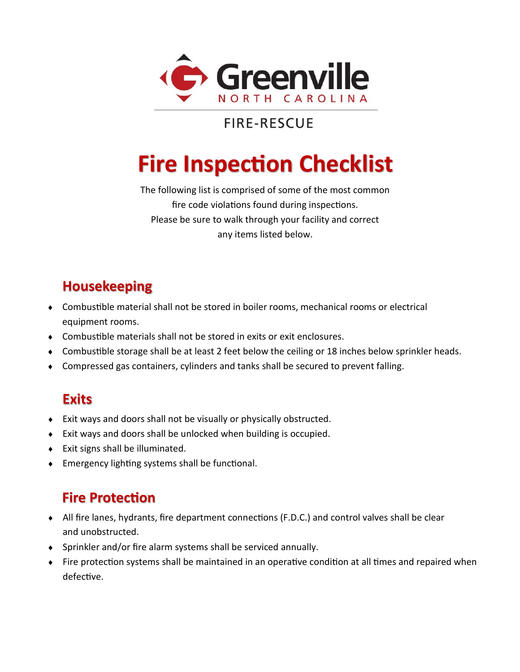

## **FIRE-RESCUE**

# **Fire Inspection Checklist**

The following list is comprised of some of the most common fire code violations found during inspections. Please be sure to walk through your facility and correct any items listed below.

## **Housekeeping**

- Combustible material shall not be stored in boiler rooms, mechanical rooms or electrical equipment rooms.
- Combustible materials shall not be stored in exits or exit enclosures.
- Combustible storage shall be at least 2 feet below the ceiling or 18 inches below sprinkler heads.
- Compressed gas containers, cylinders and tanks shall be secured to prevent falling.

#### **Exits**

- Exit ways and doors shall not be visually or physically obstructed.
- Exit ways and doors shall be unlocked when building is occupied.
- Exit signs shall be illuminated.
- Emergency lighting systems shall be functional.

#### **Fire Protection**

- All fire lanes, hydrants, fire department connections (F.D.C.) and control valves shall be clear and unobstructed.
- Sprinkler and/or fire alarm systems shall be serviced annually.
- Fire protection systems shall be maintained in an operative condition at all times and repaired when defective.